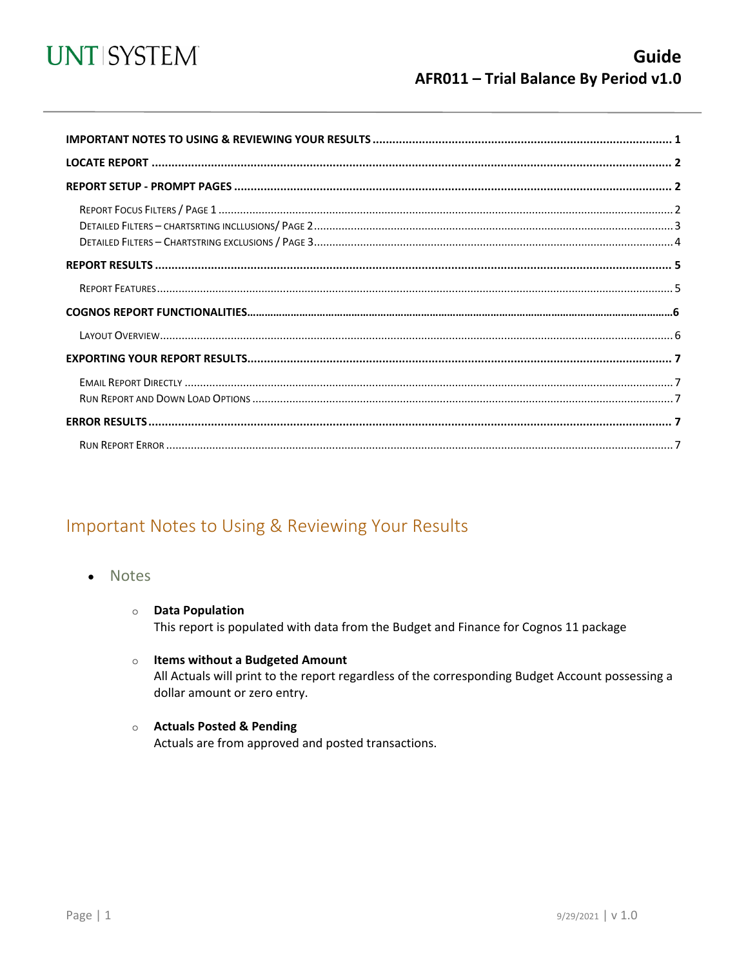

<span id="page-0-0"></span>

### Important Notes to Using & Reviewing Your Results

- Notes
	- **O** Data Population This report is populated with data from the Budget and Finance for Cognos 11 package
	- $\circ$  Items without a Budgeted Amount All Actuals will print to the report regardless of the corresponding Budget Account possessing a dollar amount or zero entry.
	- Actuals Posted & Pending Actuals are from approved and posted transactions.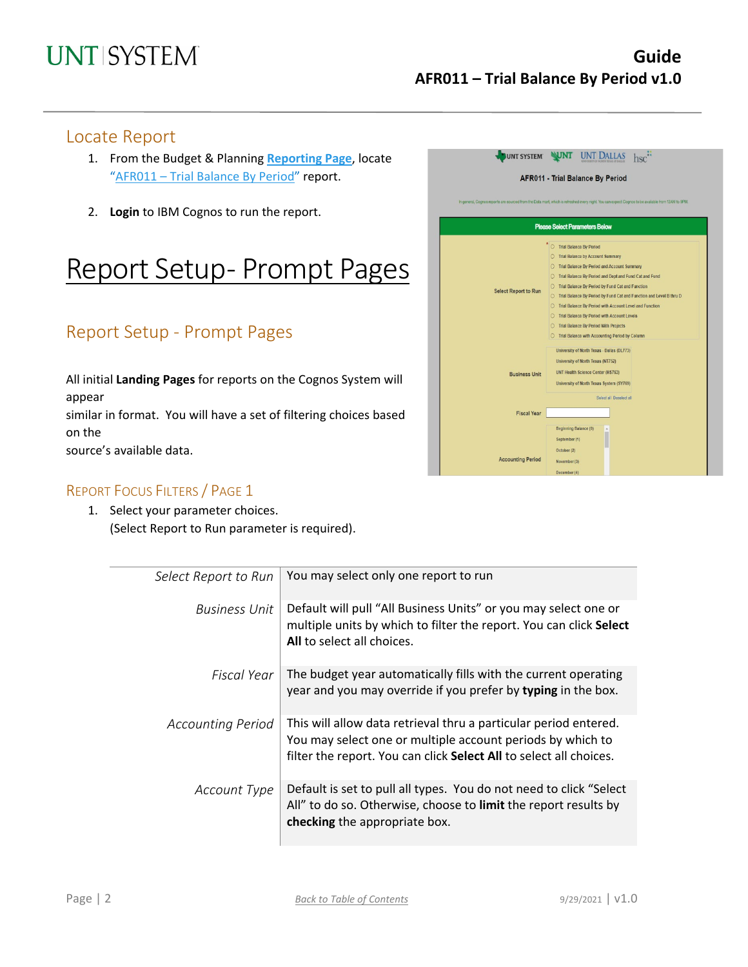#### Locate Report

- 1. From the Budget & Planning **[Reporting Page](https://finance.untsystem.edu/reporting)**, locate "AFR011 – [Trial Balance By Period"](https://cognospd.admin.unt.edu/bi/?pathRef=.public_folders%2FAFR%2BReports%2FAFR011%2B-%2BTrial%2BBalance%2BBy%2BPeriod) report.
- 2. **Login** to IBM Cognos to run the report.

## Report Setup- Prompt Pages

## Report Setup - Prompt Pages

All initial **Landing Pages** for reports on the Cognos System will appear similar in format. You will have a set of filtering choices based on the source's available data.

#### REPORT FOCUS FILTERS / PAGE 1

1. Select your parameter choices. (Select Report to Run parameter is required).

| <b>UNT SYSTEM</b>                       |                                                                                                                                                    |  |  |  |  |  |
|-----------------------------------------|----------------------------------------------------------------------------------------------------------------------------------------------------|--|--|--|--|--|
| <b>AFR011 - Trial Balance By Period</b> |                                                                                                                                                    |  |  |  |  |  |
|                                         | In general, Cognos reports are sourced from the Data mart, which is refreshed every night. You can expect Cognos to be available from 12AM to 9PM. |  |  |  |  |  |
|                                         |                                                                                                                                                    |  |  |  |  |  |
|                                         | <b>Please Select Parameters Below</b>                                                                                                              |  |  |  |  |  |
|                                         | * O Trial Balance By Period                                                                                                                        |  |  |  |  |  |
|                                         | O Trial Balance by Account Summary                                                                                                                 |  |  |  |  |  |
| <b>Select Report to Run</b>             | O Trial Balance By Period and Account Summary                                                                                                      |  |  |  |  |  |
|                                         | Trial Balance By Period and Dept and Fund Cat and Fund<br>$\circ$                                                                                  |  |  |  |  |  |
|                                         | Trial Balance By Period by Fund Cat and Function<br>$\Omega$                                                                                       |  |  |  |  |  |
|                                         | O Trial Balance By Period by Fund Cat and Function and Level B thru D                                                                              |  |  |  |  |  |
|                                         | Trial Balance By Period with Account Level and Function<br>$\Omega$                                                                                |  |  |  |  |  |
|                                         | O Trial Balance By Period with Account Levels                                                                                                      |  |  |  |  |  |
|                                         | <b>Trial Balance By Period With Projects</b><br>O                                                                                                  |  |  |  |  |  |
|                                         | Trial Balance with Accounting Period by Column                                                                                                     |  |  |  |  |  |
|                                         | University of North Texas - Dallas (DL773)                                                                                                         |  |  |  |  |  |
|                                         | University of North Texas (NT752)                                                                                                                  |  |  |  |  |  |
| <b>Business Unit</b>                    | <b>UNT Health Science Center (HS763)</b>                                                                                                           |  |  |  |  |  |
|                                         | University of North Texas System (SY769)                                                                                                           |  |  |  |  |  |
|                                         | Select all Deselect all                                                                                                                            |  |  |  |  |  |
| <b>Fiscal Year</b>                      |                                                                                                                                                    |  |  |  |  |  |
|                                         |                                                                                                                                                    |  |  |  |  |  |
|                                         | Beginning Balance (0)                                                                                                                              |  |  |  |  |  |
|                                         | September (1)                                                                                                                                      |  |  |  |  |  |
|                                         | October (2)                                                                                                                                        |  |  |  |  |  |
| <b>Accounting Period</b>                | November (3)                                                                                                                                       |  |  |  |  |  |
|                                         | December (4)                                                                                                                                       |  |  |  |  |  |

| Select Report to Run     | You may select only one report to run                                                                                                                                                                |
|--------------------------|------------------------------------------------------------------------------------------------------------------------------------------------------------------------------------------------------|
| <b>Business Unit</b>     | Default will pull "All Business Units" or you may select one or<br>multiple units by which to filter the report. You can click Select<br>All to select all choices.                                  |
| Fiscal Year              | The budget year automatically fills with the current operating<br>year and you may override if you prefer by typing in the box.                                                                      |
| <b>Accounting Period</b> | This will allow data retrieval thru a particular period entered.<br>You may select one or multiple account periods by which to<br>filter the report. You can click Select All to select all choices. |
| Account Type             | Default is set to pull all types. You do not need to click "Select"<br>All" to do so. Otherwise, choose to limit the report results by<br>checking the appropriate box.                              |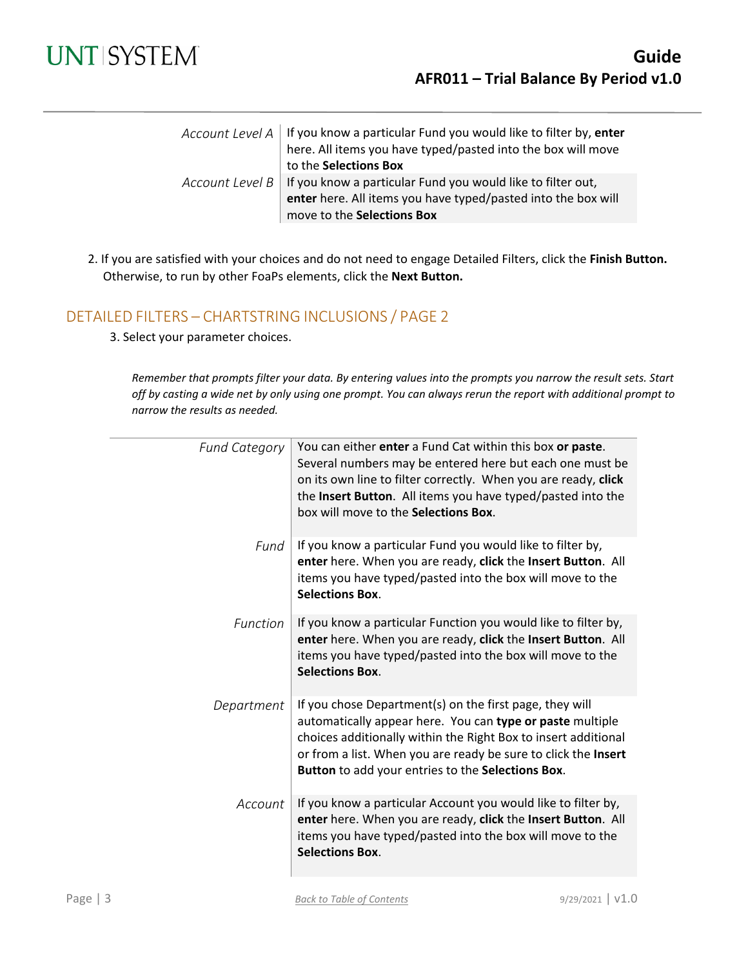

| Account Level A   If you know a particular Fund you would like to filter by, enter<br>here. All items you have typed/pasted into the box will move |
|----------------------------------------------------------------------------------------------------------------------------------------------------|
| to the Selections Box                                                                                                                              |
| Account Level $B$   If you know a particular Fund you would like to filter out,                                                                    |
| enter here. All items you have typed/pasted into the box will                                                                                      |
| move to the Selections Box                                                                                                                         |

2. If you are satisfied with your choices and do not need to engage Detailed Filters, click the **Finish Button.** Otherwise, to run by other FoaPs elements, click the **Next Button.**

#### DETAILED FILTERS – CHARTSTRING INCLUSIONS / PAGE 2

3. Select your parameter choices.

*Remember that prompts filter your data. By entering values into the prompts you narrow the result sets. Start off by casting a wide net by only using one prompt. You can always rerun the report with additional prompt to narrow the results as needed.*

| <b>Fund Category</b> | You can either enter a Fund Cat within this box or paste.<br>Several numbers may be entered here but each one must be<br>on its own line to filter correctly. When you are ready, click<br>the Insert Button. All items you have typed/pasted into the<br>box will move to the Selections Box.                |
|----------------------|---------------------------------------------------------------------------------------------------------------------------------------------------------------------------------------------------------------------------------------------------------------------------------------------------------------|
| Fund                 | If you know a particular Fund you would like to filter by,<br>enter here. When you are ready, click the Insert Button. All<br>items you have typed/pasted into the box will move to the<br><b>Selections Box.</b>                                                                                             |
| Function             | If you know a particular Function you would like to filter by,<br>enter here. When you are ready, click the Insert Button. All<br>items you have typed/pasted into the box will move to the<br><b>Selections Box.</b>                                                                                         |
| Department           | If you chose Department(s) on the first page, they will<br>automatically appear here. You can type or paste multiple<br>choices additionally within the Right Box to insert additional<br>or from a list. When you are ready be sure to click the Insert<br>Button to add your entries to the Selections Box. |
| Account              | If you know a particular Account you would like to filter by,<br>enter here. When you are ready, click the Insert Button. All<br>items you have typed/pasted into the box will move to the<br><b>Selections Box.</b>                                                                                          |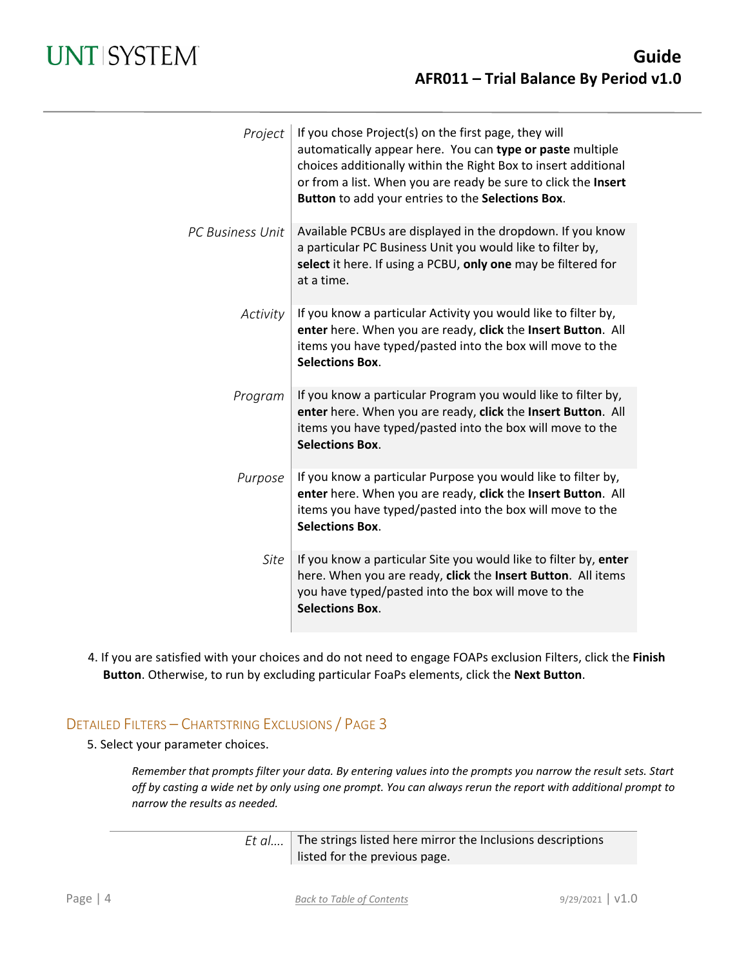| Project                 | If you chose Project(s) on the first page, they will<br>automatically appear here. You can type or paste multiple<br>choices additionally within the Right Box to insert additional<br>or from a list. When you are ready be sure to click the Insert<br>Button to add your entries to the Selections Box. |
|-------------------------|------------------------------------------------------------------------------------------------------------------------------------------------------------------------------------------------------------------------------------------------------------------------------------------------------------|
| <b>PC Business Unit</b> | Available PCBUs are displayed in the dropdown. If you know<br>a particular PC Business Unit you would like to filter by,<br>select it here. If using a PCBU, only one may be filtered for<br>at a time.                                                                                                    |
| Activity                | If you know a particular Activity you would like to filter by,<br>enter here. When you are ready, click the Insert Button. All<br>items you have typed/pasted into the box will move to the<br><b>Selections Box.</b>                                                                                      |
| Program                 | If you know a particular Program you would like to filter by,<br>enter here. When you are ready, click the Insert Button. All<br>items you have typed/pasted into the box will move to the<br><b>Selections Box.</b>                                                                                       |
| Purpose                 | If you know a particular Purpose you would like to filter by,<br>enter here. When you are ready, click the Insert Button. All<br>items you have typed/pasted into the box will move to the<br><b>Selections Box.</b>                                                                                       |
| Site                    | If you know a particular Site you would like to filter by, enter<br>here. When you are ready, click the Insert Button. All items<br>you have typed/pasted into the box will move to the<br><b>Selections Box.</b>                                                                                          |

4. If you are satisfied with your choices and do not need to engage FOAPs exclusion Filters, click the **Finish Button**. Otherwise, to run by excluding particular FoaPs elements, click the **Next Button**.

#### DETAILED FILTERS – CHARTSTRING EXCLUSIONS / PAGE 3

5. Select your parameter choices.

*Remember that prompts filter your data. By entering values into the prompts you narrow the result sets. Start off by casting a wide net by only using one prompt. You can always rerun the report with additional prompt to narrow the results as needed.*

> *Et al....* The strings listed here mirror the Inclusions descriptions listed for the previous page.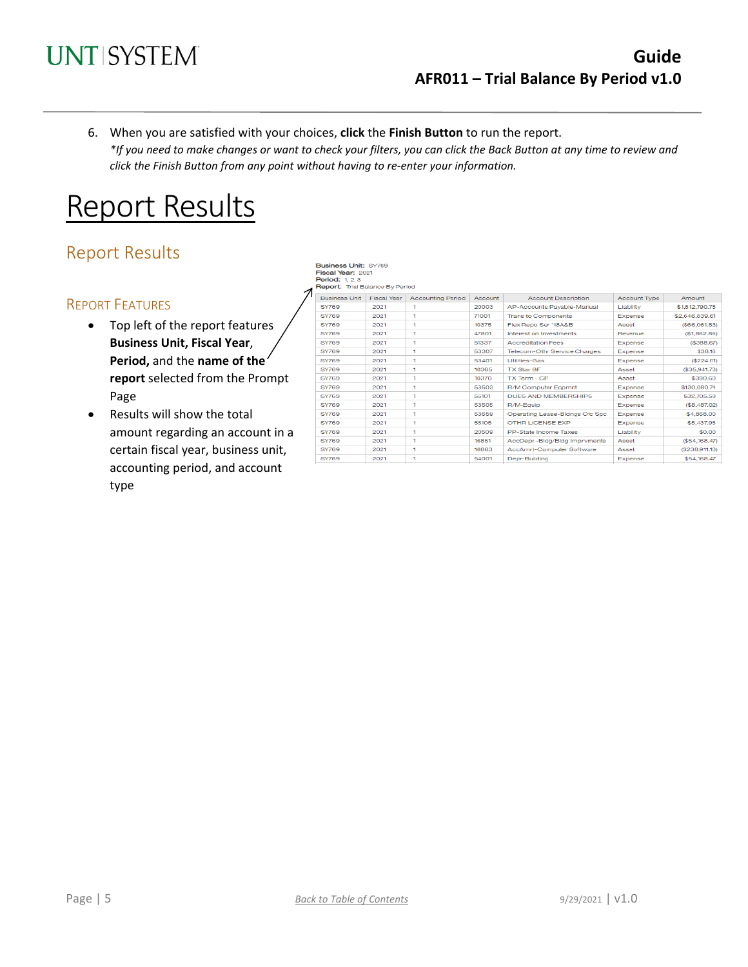

6. When you are satisfied with your choices, **click** the **Finish Button** to run the report. *\*If you need to make changes or want to check your filters, you can click the Back Button at any time to review and click the Finish Button from any point without having to re-enter your information.*

# Report Results

## Report Results

#### REPORT FEATURES

- Top left of the report features **Business Unit, Fiscal Year**, **Period,** and the **name of the report** selected from the Prompt Page
- Results will show the total amount regarding an account in a certain fiscal year, business unit, accounting period, and account type

**Business Unit: SY769** Fiscal Year: 2021<br>Piscal Year: 2021<br>Period: 1, 2, 3<br>Report: Trial Balance By Period

| <b>Business Unit</b> | <b>Fiscal Year</b> | <b>Accounting Period</b> | Account | <b>Account Description</b>          | <b>Account Type</b> | Amount           |
|----------------------|--------------------|--------------------------|---------|-------------------------------------|---------------------|------------------|
| <b>SY769</b>         | 2021               |                          | 20003   | AP-Accounts Pavable-Manual          | Liability           | \$1,612,790.78   |
| <b>SY769</b>         | 2021               | ٠                        | 71001   | <b>Trans to Components</b>          | Expense             | \$2,646,839.61   |
| <b>SY769</b>         | 2021               | ٦                        | 10375   | Flex Repo Ser '18A&B                | Asset               | (\$66,061.83)    |
| <b>SY769</b>         | 2021               | ٦                        | 47801   | Interest on Investments             | Revenue             | (\$1,862.86)     |
| <b>SY769</b>         | 2021               | ٦                        | 51337   | <b>Accreditation Fees</b>           | Expense             | (\$388.67)       |
| <b>SY769</b>         | 2021               | ٠                        | 53307   | <b>Telecom-Othr Service Charges</b> | Expense             | \$38.16          |
| <b>SY769</b>         | 2021               | ٠                        | 53401   | <b>Utilities-Gas</b>                | <b>Expense</b>      | (\$224.01)       |
| <b>SY769</b>         | 2021               | ٠                        | 10365   | <b>TX Star GF</b>                   | Asset               | ( \$35, 941, 73) |
| <b>SY769</b>         | 2021               | ٠                        | 10370   | TX Term - CP                        | Asset               | \$390.60         |
| <b>SY769</b>         | 2021               | ٦                        | 53503   | <b>R/M Computer Egomnt</b>          | <b>Expense</b>      | \$130,080.74     |
| <b>SY769</b>         | 2021               | ٠                        | 55101   | <b>DUES AND MEMBERSHIPS</b>         | <b>Expense</b>      | \$32,705,59      |
| <b>SY769</b>         | 2021               | ٦                        | 53505   | R/M-Equip                           | <b>Expense</b>      | (\$8,487.02)     |
| <b>SY769</b>         | 2021               | ٦                        | 53659   | Operating Lease-Bldngs Ofc Spc      | Expense             | \$4,868,00       |
| <b>SY769</b>         | 2021               | ٦                        | 55105   | OTHR LICENSE EXP                    | Expense             | \$5,437.95       |
| <b>SY769</b>         | 2021               | ٦                        | 20509   | PP-State Income Taxes               | Liability           | \$0.00           |
| <b>SY769</b>         | 2021               | ٦                        | 16851   | AccDepr-Bldg/Bldg Imprvments        | Asset               | $(\$54,168.47)$  |
| <b>SY769</b>         | 2021               | ٦                        | 16863   | AccAmrt-Computer Software           | Asset               | $(\$238,911.10)$ |
| <b>SY769</b>         | 2021               |                          | 54001   | Depr-Building                       | Expense             | \$54,168,47      |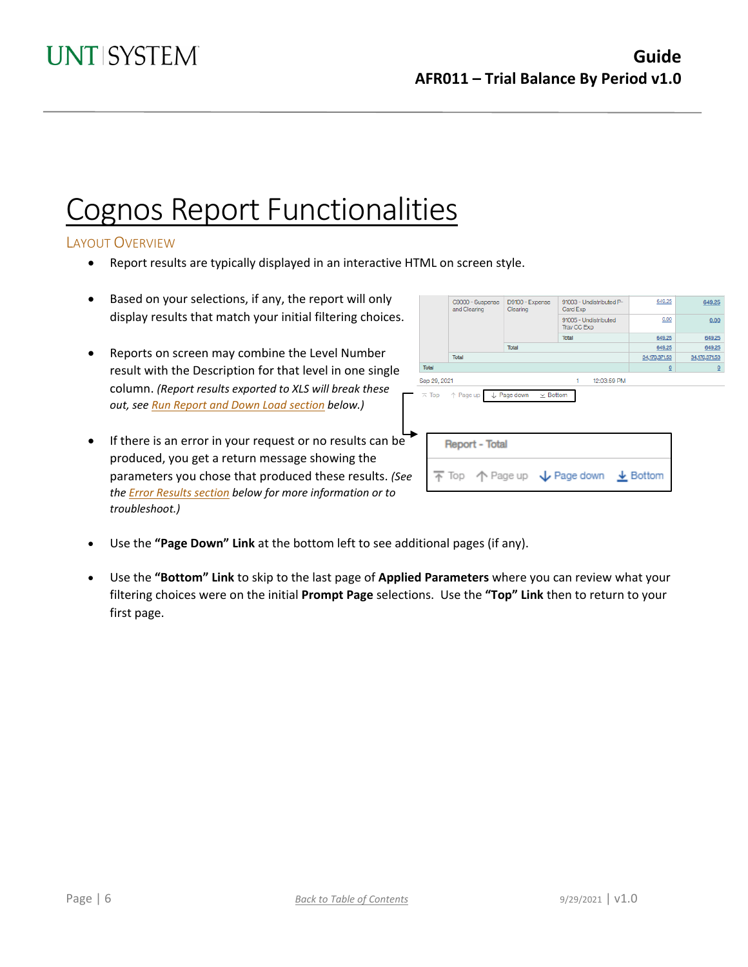# Cognos Report Functionalities

#### LAYOUT OVERVIEW

- Report results are typically displayed in an interactive HTML on screen style.
- Based on your selections, if any, the report will only display results that match your initial filtering choices.
- Reports on screen may combine the Level Number result with the Description for that level in one single column. *(Report results exported to XLS will break these out, see Run Report and Down Load section below.)*
- If there is an error in your request or no results can be produced, you get a return message showing the parameters you chose that produced these results. *(See th[e Error Results section](#page-6-0) below for more information or to troubleshoot.)*

| C9000 - Suspense<br>and Clearing | D9100 - Expense<br>Clearing                | 91003 - Undistributed P-<br>Card Exp      | 049.23                                                                                  | 649.25                  |                |
|----------------------------------|--------------------------------------------|-------------------------------------------|-----------------------------------------------------------------------------------------|-------------------------|----------------|
|                                  |                                            |                                           | 91005 - Undistributed<br>Trav CC Exp                                                    | 0.00                    | 0.00           |
|                                  |                                            |                                           | Total                                                                                   | 649.25                  | 649.25         |
|                                  |                                            | Total                                     |                                                                                         | 649.25                  | 649.25         |
|                                  | Total                                      |                                           |                                                                                         | 34,170,371.53           | 34,170,371.53  |
| Total                            |                                            |                                           |                                                                                         | $\overline{\mathbf{0}}$ | $\overline{0}$ |
| Sep 29, 2021                     |                                            |                                           | 1<br>12:03:59 PM                                                                        |                         |                |
|                                  | $\overline{\wedge}$ Top $\uparrow$ Page up | $\downarrow$ Page down<br>$\times$ Bottom |                                                                                         |                         |                |
|                                  | <b>Report - Total</b>                      |                                           |                                                                                         |                         |                |
|                                  |                                            |                                           | $\overline{\uparrow}$ Top $\uparrow$ Page up $\downarrow$ Page down $\downarrow$ Bottom |                         |                |

- Use the **"Page Down" Link** at the bottom left to see additional pages (if any).
- Use the **"Bottom" Link** to skip to the last page of **Applied Parameters** where you can review what your filtering choices were on the initial **Prompt Page** selections. Use the **"Top" Link** then to return to your first page.